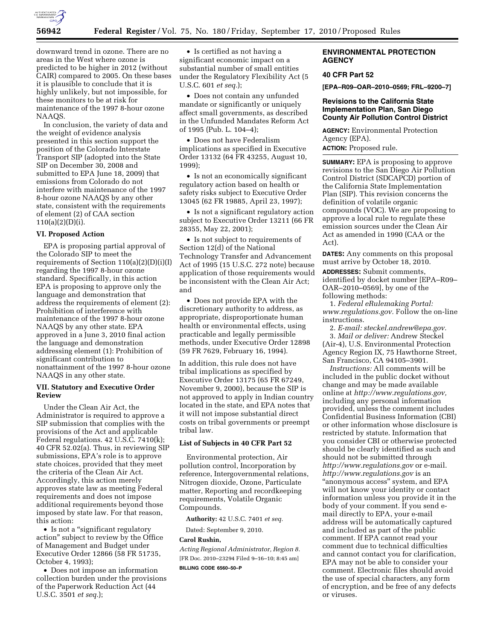

downward trend in ozone. There are no areas in the West where ozone is predicted to be higher in 2012 (without CAIR) compared to 2005. On these bases it is plausible to conclude that it is highly unlikely, but not impossible, for these monitors to be at risk for maintenance of the 1997 8-hour ozone NAAQS.

In conclusion, the variety of data and the weight of evidence analysis presented in this section support the position of the Colorado Interstate Transport SIP (adopted into the State SIP on December 30, 2008 and submitted to EPA June 18, 2009) that emissions from Colorado do not interfere with maintenance of the 1997 8-hour ozone NAAQS by any other state, consistent with the requirements of element (2) of CAA section 110(a)(2)(D)(i).

### **VI. Proposed Action**

EPA is proposing partial approval of the Colorado SIP to meet the requirements of Section 110(a)(2)(D)(i)(I) regarding the 1997 8-hour ozone standard. Specifically, in this action EPA is proposing to approve only the language and demonstration that address the requirements of element (2): Prohibition of interference with maintenance of the 1997 8-hour ozone NAAQS by any other state. EPA approved in a June 3, 2010 final action the language and demonstration addressing element (1): Prohibition of significant contribution to nonattainment of the 1997 8-hour ozone NAAQS in any other state.

### **VII. Statutory and Executive Order Review**

Under the Clean Air Act, the Administrator is required to approve a SIP submission that complies with the provisions of the Act and applicable Federal regulations. 42 U.S.C. 7410(k); 40 CFR 52.02(a). Thus, in reviewing SIP submissions, EPA's role is to approve state choices, provided that they meet the criteria of the Clean Air Act. Accordingly, this action merely approves state law as meeting Federal requirements and does not impose additional requirements beyond those imposed by state law. For that reason, this action:

• Is not a "significant regulatory action'' subject to review by the Office of Management and Budget under Executive Order 12866 (58 FR 51735, October 4, 1993);

• Does not impose an information collection burden under the provisions of the Paperwork Reduction Act (44 U.S.C. 3501 *et seq.*);

• Is certified as not having a significant economic impact on a substantial number of small entities under the Regulatory Flexibility Act (5 U.S.C. 601 *et seq.*);

• Does not contain any unfunded mandate or significantly or uniquely affect small governments, as described in the Unfunded Mandates Reform Act of 1995 (Pub. L. 104–4);

• Does not have Federalism implications as specified in Executive Order 13132 (64 FR 43255, August 10, 1999);

• Is not an economically significant regulatory action based on health or safety risks subject to Executive Order 13045 (62 FR 19885, April 23, 1997);

• Is not a significant regulatory action subject to Executive Order 13211 (66 FR 28355, May 22, 2001);

• Is not subject to requirements of Section 12(d) of the National Technology Transfer and Advancement Act of 1995 (15 U.S.C. 272 note) because application of those requirements would be inconsistent with the Clean Air Act; and

• Does not provide EPA with the discretionary authority to address, as appropriate, disproportionate human health or environmental effects, using practicable and legally permissible methods, under Executive Order 12898 (59 FR 7629, February 16, 1994).

In addition, this rule does not have tribal implications as specified by Executive Order 13175 (65 FR 67249, November 9, 2000), because the SIP is not approved to apply in Indian country located in the state, and EPA notes that it will not impose substantial direct costs on tribal governments or preempt tribal law.

# **List of Subjects in 40 CFR Part 52**

Environmental protection, Air pollution control, Incorporation by reference, Intergovernmental relations, Nitrogen dioxide, Ozone, Particulate matter, Reporting and recordkeeping requirements, Volatile Organic Compounds.

**Authority:** 42 U.S.C. 7401 *et seq.* 

Dated: September 9, 2010.

#### **Carol Rushin,**

*Acting Regional Administrator, Region 8.*  [FR Doc. 2010–23294 Filed 9–16–10; 8:45 am] **BILLING CODE 6560–50–P** 

### **ENVIRONMENTAL PROTECTION AGENCY**

# **40 CFR Part 52**

**[EPA–R09–OAR–2010–0569; FRL–9200–7]** 

# **Revisions to the California State Implementation Plan, San Diego County Air Pollution Control District**

**AGENCY:** Environmental Protection Agency (EPA). **ACTION:** Proposed rule.

**SUMMARY:** EPA is proposing to approve revisions to the San Diego Air Pollution Control District (SDCAPCD) portion of the California State Implementation Plan (SIP). This revision concerns the definition of volatile organic compounds (VOC). We are proposing to approve a local rule to regulate these emission sources under the Clean Air Act as amended in 1990 (CAA or the Act).

**DATES:** Any comments on this proposal must arrive by October 18, 2010.

**ADDRESSES:** Submit comments, identified by docket number [EPA–R09– OAR–2010–0569], by one of the following methods:

1. *Federal eRulemaking Portal: [www.regulations.gov.](http://www.regulations.gov)* Follow the on-line instructions.

2. *E-mail: [steckel.andrew@epa.gov.](mailto:steckel.andrew@epa.gov)*  3. *Mail or deliver:* Andrew Steckel (Air-4), U.S. Environmental Protection Agency Region IX, 75 Hawthorne Street, San Francisco, CA 94105–3901.

*Instructions:* All comments will be included in the public docket without change and may be made available online at *[http://www.regulations.gov,](http://www.regulations.gov)*  including any personal information provided, unless the comment includes Confidential Business Information (CBI) or other information whose disclosure is restricted by statute. Information that you consider CBI or otherwise protected should be clearly identified as such and should not be submitted through *<http://www.regulations.gov>* or e-mail. *<http://www.regulations.gov>* is an ''anonymous access'' system, and EPA will not know your identity or contact information unless you provide it in the body of your comment. If you send email directly to EPA, your e-mail address will be automatically captured and included as part of the public comment. If EPA cannot read your comment due to technical difficulties and cannot contact you for clarification, EPA may not be able to consider your comment. Electronic files should avoid the use of special characters, any form of encryption, and be free of any defects or viruses.